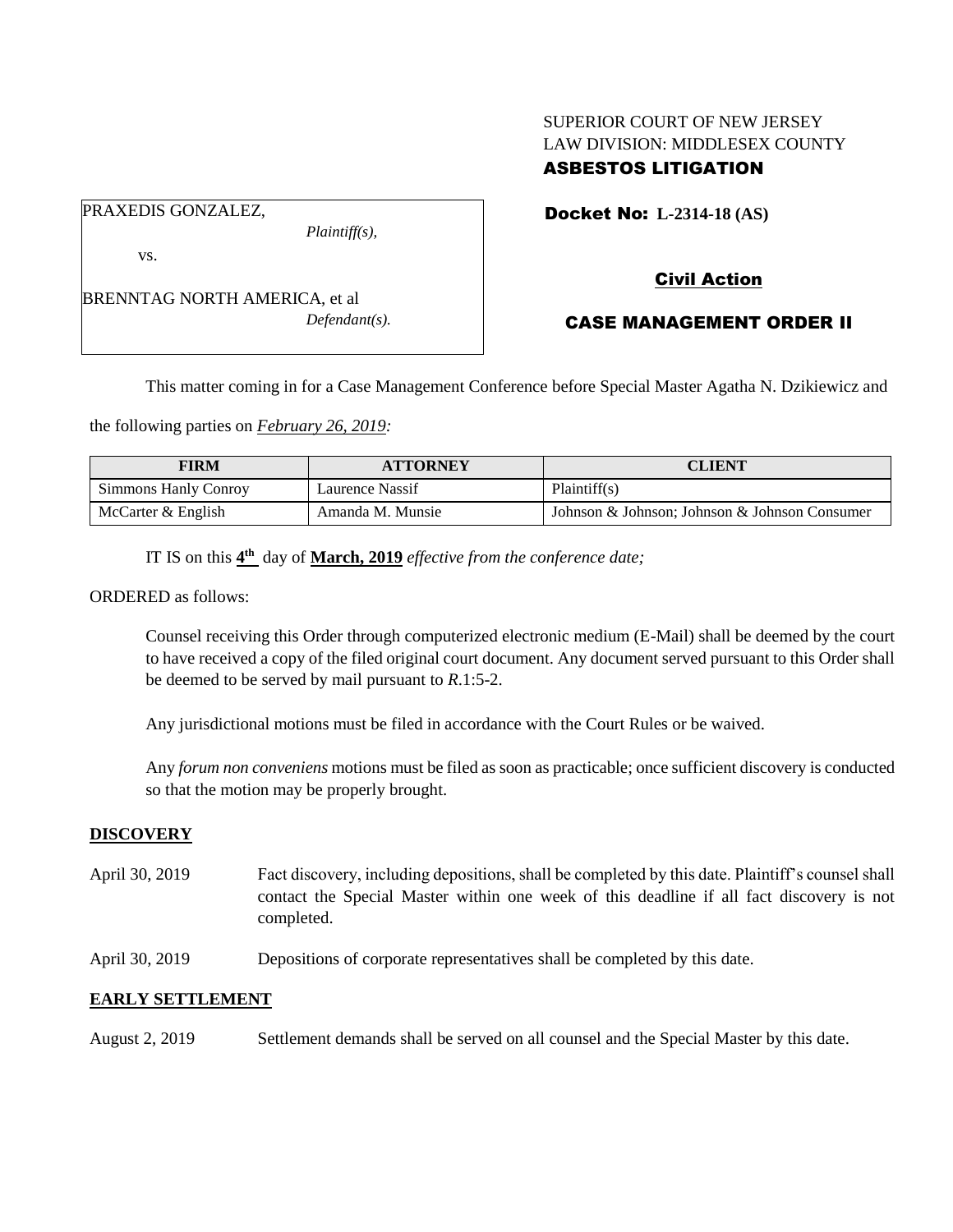# SUPERIOR COURT OF NEW JERSEY LAW DIVISION: MIDDLESEX COUNTY ASBESTOS LITIGATION

PRAXEDIS GONZALEZ,

vs.

BRENNTAG NORTH AMERICA, et al *Defendant(s).* Docket No: **L-2314-18 (AS)** 

# Civil Action

# CASE MANAGEMENT ORDER II

This matter coming in for a Case Management Conference before Special Master Agatha N. Dzikiewicz and

the following parties on *February 26, 2019:*

| <b>FIRM</b>                 | <b>ATTORNEY</b>  | CLIENT                                        |
|-----------------------------|------------------|-----------------------------------------------|
| <b>Simmons Hanly Conroy</b> | Laurence Nassif  | Plaintiff(s)                                  |
| McCarter & English          | Amanda M. Munsie | Johnson & Johnson: Johnson & Johnson Consumer |

IT IS on this  $4^{\text{th}}$  day of **March, 2019** *effective from the conference date*;

*Plaintiff(s),*

ORDERED as follows:

Counsel receiving this Order through computerized electronic medium (E-Mail) shall be deemed by the court to have received a copy of the filed original court document. Any document served pursuant to this Order shall be deemed to be served by mail pursuant to *R*.1:5-2.

Any jurisdictional motions must be filed in accordance with the Court Rules or be waived.

Any *forum non conveniens* motions must be filed as soon as practicable; once sufficient discovery is conducted so that the motion may be properly brought.

## **DISCOVERY**

- April 30, 2019 Fact discovery, including depositions, shall be completed by this date. Plaintiff's counsel shall contact the Special Master within one week of this deadline if all fact discovery is not completed.
- April 30, 2019 Depositions of corporate representatives shall be completed by this date.

## **EARLY SETTLEMENT**

August 2, 2019 Settlement demands shall be served on all counsel and the Special Master by this date.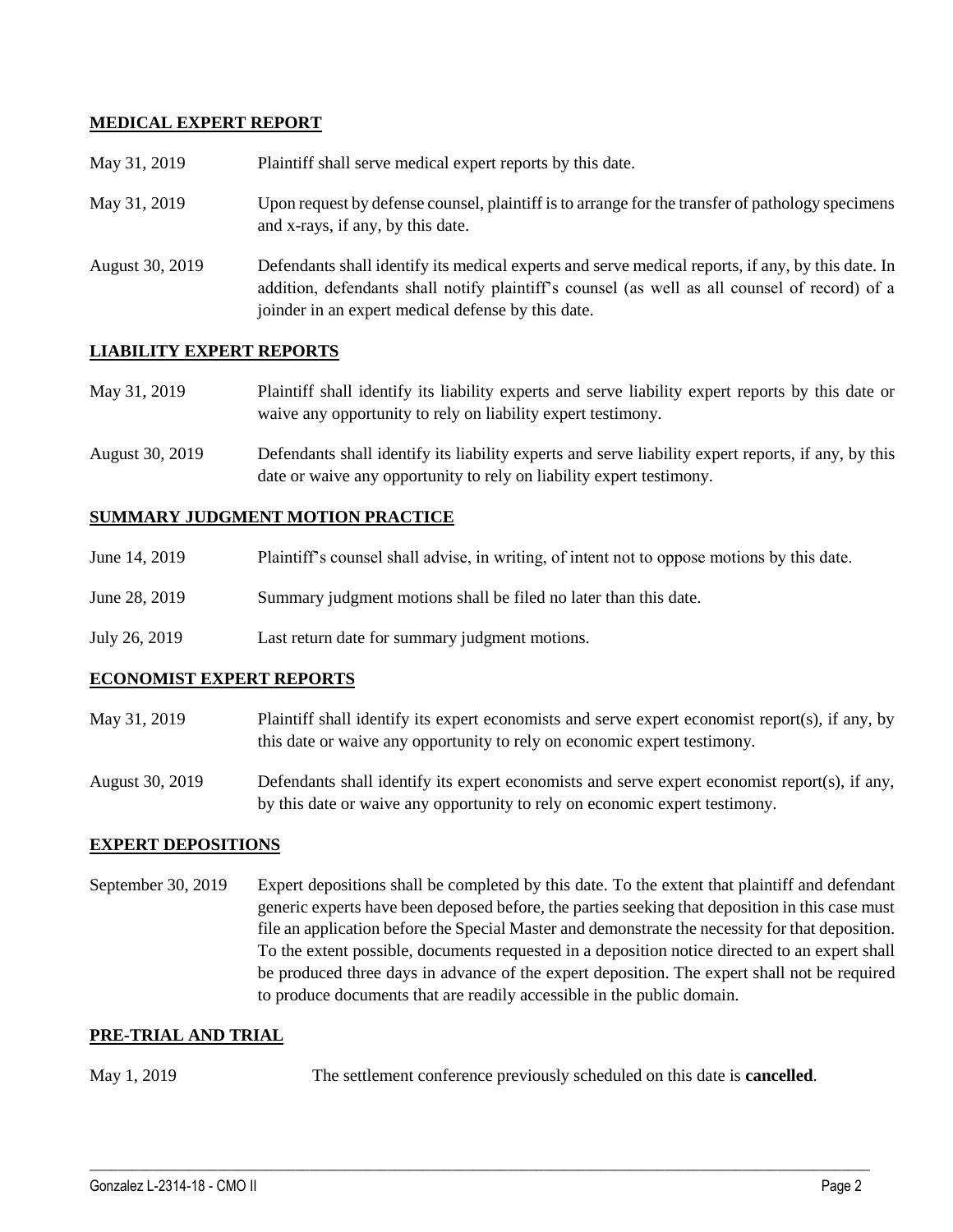## **MEDICAL EXPERT REPORT**

| May 31, 2019    | Plaintiff shall serve medical expert reports by this date.                                                                                                                                                                                               |
|-----------------|----------------------------------------------------------------------------------------------------------------------------------------------------------------------------------------------------------------------------------------------------------|
| May 31, 2019    | Upon request by defense counsel, plaintiff is to arrange for the transfer of pathology specimens<br>and x-rays, if any, by this date.                                                                                                                    |
| August 30, 2019 | Defendants shall identify its medical experts and serve medical reports, if any, by this date. In<br>addition, defendants shall notify plaintiff's counsel (as well as all counsel of record) of a<br>joinder in an expert medical defense by this date. |

## **LIABILITY EXPERT REPORTS**

| May 31, 2019 | Plaintiff shall identify its liability experts and serve liability expert reports by this date or |
|--------------|---------------------------------------------------------------------------------------------------|
|              | waive any opportunity to rely on liability expert testimony.                                      |

August 30, 2019 Defendants shall identify its liability experts and serve liability expert reports, if any, by this date or waive any opportunity to rely on liability expert testimony.

### **SUMMARY JUDGMENT MOTION PRACTICE**

| Plaintiff's counsel shall advise, in writing, of intent not to oppose motions by this date.<br>June 14, 2019 |  |
|--------------------------------------------------------------------------------------------------------------|--|
|--------------------------------------------------------------------------------------------------------------|--|

- June 28, 2019 Summary judgment motions shall be filed no later than this date.
- July 26, 2019 Last return date for summary judgment motions.

### **ECONOMIST EXPERT REPORTS**

May 31, 2019 Plaintiff shall identify its expert economists and serve expert economist report(s), if any, by this date or waive any opportunity to rely on economic expert testimony.

August 30, 2019 Defendants shall identify its expert economists and serve expert economist report(s), if any, by this date or waive any opportunity to rely on economic expert testimony.

### **EXPERT DEPOSITIONS**

September 30, 2019 Expert depositions shall be completed by this date. To the extent that plaintiff and defendant generic experts have been deposed before, the parties seeking that deposition in this case must file an application before the Special Master and demonstrate the necessity for that deposition. To the extent possible, documents requested in a deposition notice directed to an expert shall be produced three days in advance of the expert deposition. The expert shall not be required to produce documents that are readily accessible in the public domain.

### **PRE-TRIAL AND TRIAL**

May 1, 2019 The settlement conference previously scheduled on this date is **cancelled**.

 $\_$  ,  $\_$  ,  $\_$  ,  $\_$  ,  $\_$  ,  $\_$  ,  $\_$  ,  $\_$  ,  $\_$  ,  $\_$  ,  $\_$  ,  $\_$  ,  $\_$  ,  $\_$  ,  $\_$  ,  $\_$  ,  $\_$  ,  $\_$  ,  $\_$  ,  $\_$  ,  $\_$  ,  $\_$  ,  $\_$  ,  $\_$  ,  $\_$  ,  $\_$  ,  $\_$  ,  $\_$  ,  $\_$  ,  $\_$  ,  $\_$  ,  $\_$  ,  $\_$  ,  $\_$  ,  $\_$  ,  $\_$  ,  $\_$  ,